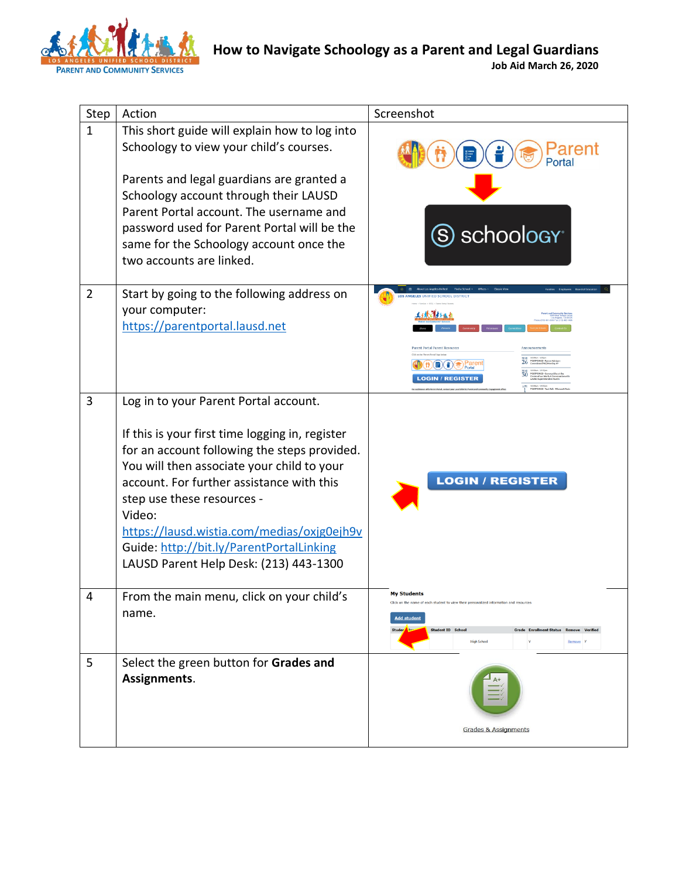

| Step           | Action                                                                                                                                                                                                                                                                                                                                                                                                          | Screenshot                                                                                                                                                                                                                                 |
|----------------|-----------------------------------------------------------------------------------------------------------------------------------------------------------------------------------------------------------------------------------------------------------------------------------------------------------------------------------------------------------------------------------------------------------------|--------------------------------------------------------------------------------------------------------------------------------------------------------------------------------------------------------------------------------------------|
| $\mathbf{1}$   | This short guide will explain how to log into<br>Schoology to view your child's courses.<br>Parents and legal guardians are granted a                                                                                                                                                                                                                                                                           | arent                                                                                                                                                                                                                                      |
|                | Schoology account through their LAUSD<br>Parent Portal account. The username and<br>password used for Parent Portal will be the<br>same for the Schoology account once the<br>two accounts are linked.                                                                                                                                                                                                          | S schoology <sup>®</sup>                                                                                                                                                                                                                   |
| $\overline{2}$ | Start by going to the following address on<br>your computer:<br>https://parentportal.lausd.net                                                                                                                                                                                                                                                                                                                  | nt Portal Parent Resor<br>$\binom{H}{I}$ $\binom{H}{I}$ $\binom{H}{I}$ $\binom{H}{I}$ $\binom{H}{I}$ $\binom{H}{I}$ $\binom{H}{I}$ $\binom{H}{I}$<br><b>LOGIN / REGISTER</b>                                                               |
| 3              | Log in to your Parent Portal account.<br>If this is your first time logging in, register<br>for an account following the steps provided.<br>You will then associate your child to your<br>account. For further assistance with this<br>step use these resources -<br>Video:<br>https://lausd.wistia.com/medias/oxjg0ejh9v<br>Guide: http://bit.ly/ParentPortalLinking<br>LAUSD Parent Help Desk: (213) 443-1300 | <b>LOGIN / REGISTER</b>                                                                                                                                                                                                                    |
|                | From the main menu, click on your child's<br>name.                                                                                                                                                                                                                                                                                                                                                              | <b>My Students</b><br>Click on the name of each student to view their personalized information and resources<br><b>Add student</b><br><b>Student ID</b> Schoo<br><b>Enrollment Status Remove Verifie</b><br><b>High School</b><br>Remove Y |
| 5              | Select the green button for Grades and<br>Assignments.                                                                                                                                                                                                                                                                                                                                                          | <b>Grades &amp; Assignments</b>                                                                                                                                                                                                            |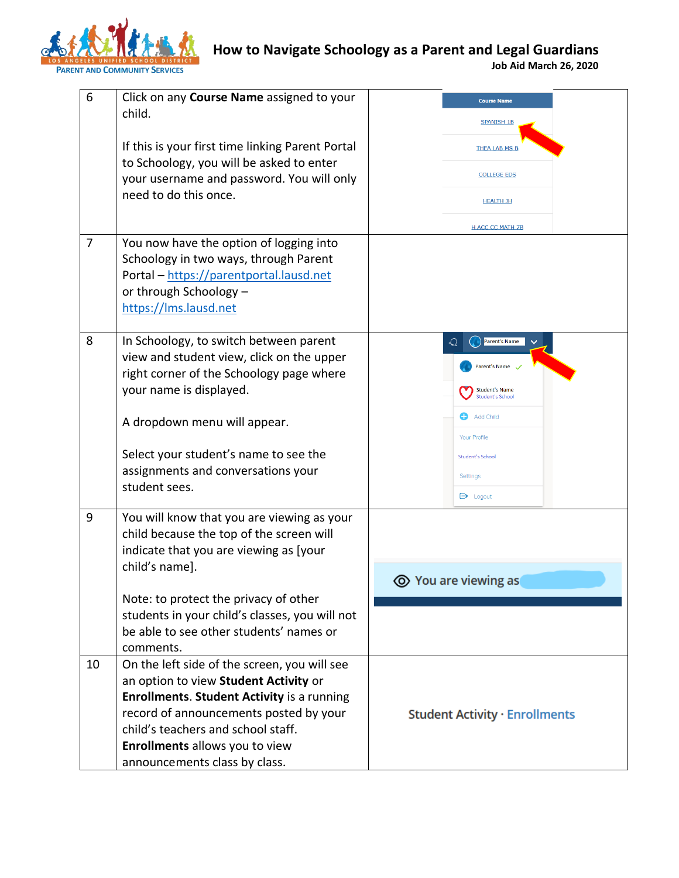

## **How to Navigate Schoology as a Parent and Legal Guardians**

**Job Aid March 26, 2020**

| 6  | Click on any Course Name assigned to your                                                                                                                                                                                                                           | <b>Course Name</b>                                                                      |
|----|---------------------------------------------------------------------------------------------------------------------------------------------------------------------------------------------------------------------------------------------------------------------|-----------------------------------------------------------------------------------------|
|    | child.                                                                                                                                                                                                                                                              | <b>SPANISH 1B</b>                                                                       |
|    | If this is your first time linking Parent Portal                                                                                                                                                                                                                    | <b>THEA LAB MS B</b>                                                                    |
|    | to Schoology, you will be asked to enter<br>your username and password. You will only                                                                                                                                                                               | <b>COLLEGE EDS</b>                                                                      |
|    | need to do this once.                                                                                                                                                                                                                                               | <b>HEALTH JH</b>                                                                        |
|    |                                                                                                                                                                                                                                                                     | <b>H ACC CC MATH 7B</b>                                                                 |
| 7  | You now have the option of logging into<br>Schoology in two ways, through Parent<br>Portal - https://parentportal.lausd.net<br>or through Schoology -<br>https://lms.lausd.net                                                                                      |                                                                                         |
| 8  | In Schoology, to switch between parent<br>view and student view, click on the upper<br>right corner of the Schoology page where<br>your name is displayed.                                                                                                          | Parent's Name<br>↵<br>Parent's Name<br><b>Student's Name</b><br><b>Student's School</b> |
|    | A dropdown menu will appear.                                                                                                                                                                                                                                        | Add Child<br>Your Profile                                                               |
|    | Select your student's name to see the<br>assignments and conversations your<br>student sees.                                                                                                                                                                        | <b>Student's School</b><br>Settings<br>$\rightarrow$ Logout                             |
| 9  | You will know that you are viewing as your<br>child because the top of the screen will<br>indicate that you are viewing as [your<br>child's name].                                                                                                                  | <b>◎</b> You are viewing as                                                             |
|    | Note: to protect the privacy of other<br>students in your child's classes, you will not<br>be able to see other students' names or<br>comments.                                                                                                                     |                                                                                         |
| 10 | On the left side of the screen, you will see<br>an option to view Student Activity or<br><b>Enrollments. Student Activity is a running</b><br>record of announcements posted by your<br>child's teachers and school staff.<br><b>Enrollments allows you to view</b> | <b>Student Activity · Enrollments</b>                                                   |
|    | announcements class by class.                                                                                                                                                                                                                                       |                                                                                         |